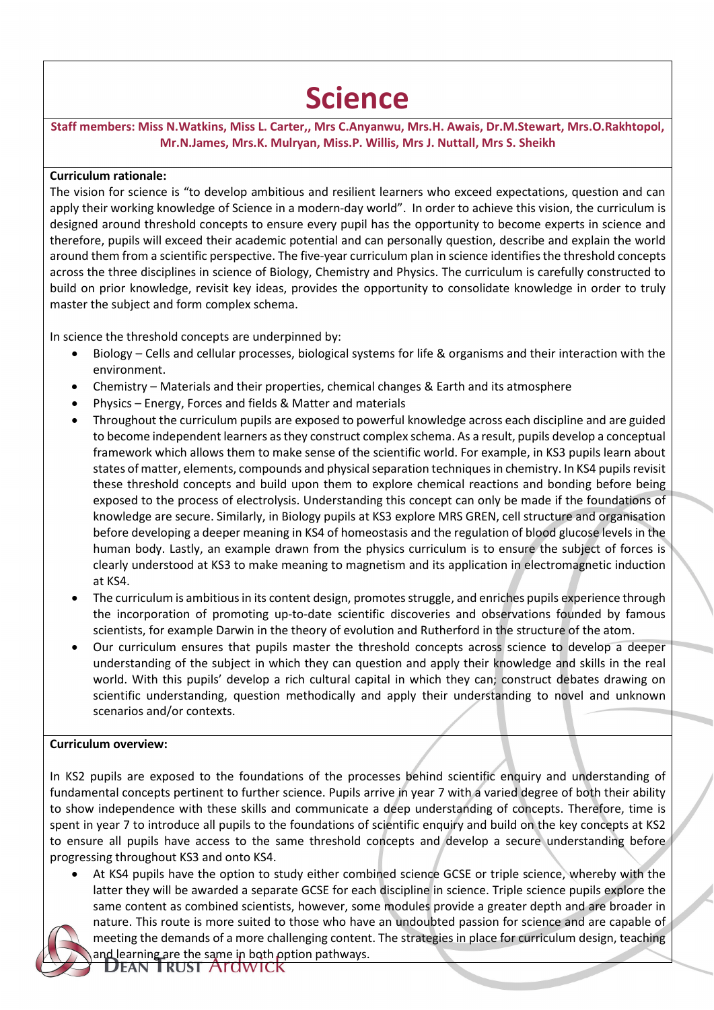## **Science**

**Staff members: Miss N.Watkins, Miss L. Carter,, Mrs C.Anyanwu, Mrs.H. Awais, Dr.M.Stewart, Mrs.O.Rakhtopol, Mr.N.James, Mrs.K. Mulryan, Miss.P. Willis, Mrs J. Nuttall, Mrs S. Sheikh**

## **Curriculum rationale:**

The vision for science is "to develop ambitious and resilient learners who exceed expectations, question and can apply their working knowledge of Science in a modern-day world". In order to achieve this vision, the curriculum is designed around threshold concepts to ensure every pupil has the opportunity to become experts in science and therefore, pupils will exceed their academic potential and can personally question, describe and explain the world around them from a scientific perspective. The five-year curriculum plan in science identifies the threshold concepts across the three disciplines in science of Biology, Chemistry and Physics. The curriculum is carefully constructed to build on prior knowledge, revisit key ideas, provides the opportunity to consolidate knowledge in order to truly master the subject and form complex schema.

In science the threshold concepts are underpinned by:

- Biology Cells and cellular processes, biological systems for life & organisms and their interaction with the environment.
- Chemistry Materials and their properties, chemical changes & Earth and its atmosphere
- Physics Energy, Forces and fields & Matter and materials
- Throughout the curriculum pupils are exposed to powerful knowledge across each discipline and are guided to become independent learners as they construct complex schema. As a result, pupils develop a conceptual framework which allows them to make sense of the scientific world. For example, in KS3 pupils learn about states of matter, elements, compounds and physical separation techniques in chemistry. In KS4 pupils revisit these threshold concepts and build upon them to explore chemical reactions and bonding before being exposed to the process of electrolysis. Understanding this concept can only be made if the foundations of knowledge are secure. Similarly, in Biology pupils at KS3 explore MRS GREN, cell structure and organisation before developing a deeper meaning in KS4 of homeostasis and the regulation of blood glucose levels in the human body. Lastly, an example drawn from the physics curriculum is to ensure the subject of forces is clearly understood at KS3 to make meaning to magnetism and its application in electromagnetic induction at KS4.
- The curriculum is ambitious in its content design, promotes struggle, and enriches pupils experience through the incorporation of promoting up-to-date scientific discoveries and observations founded by famous scientists, for example Darwin in the theory of evolution and Rutherford in the structure of the atom.
- Our curriculum ensures that pupils master the threshold concepts across science to develop a deeper understanding of the subject in which they can question and apply their knowledge and skills in the real world. With this pupils' develop a rich cultural capital in which they can; construct debates drawing on scientific understanding, question methodically and apply their understanding to novel and unknown scenarios and/or contexts.

## **Curriculum overview:**

In KS2 pupils are exposed to the foundations of the processes behind scientific enquiry and understanding of fundamental concepts pertinent to further science. Pupils arrive in year 7 with a varied degree of both their ability to show independence with these skills and communicate a deep understanding of concepts. Therefore, time is spent in year 7 to introduce all pupils to the foundations of scientific enquiry and build on the key concepts at KS2 to ensure all pupils have access to the same threshold concepts and develop a secure understanding before progressing throughout KS3 and onto KS4.

• At KS4 pupils have the option to study either combined science GCSE or triple science, whereby with the latter they will be awarded a separate GCSE for each discipline in science. Triple science pupils explore the same content as combined scientists, however, some modules provide a greater depth and are broader in nature. This route is more suited to those who have an undoubted passion for science and are capable of meeting the demands of a more challenging content. The strategies in place for curriculum design, teaching